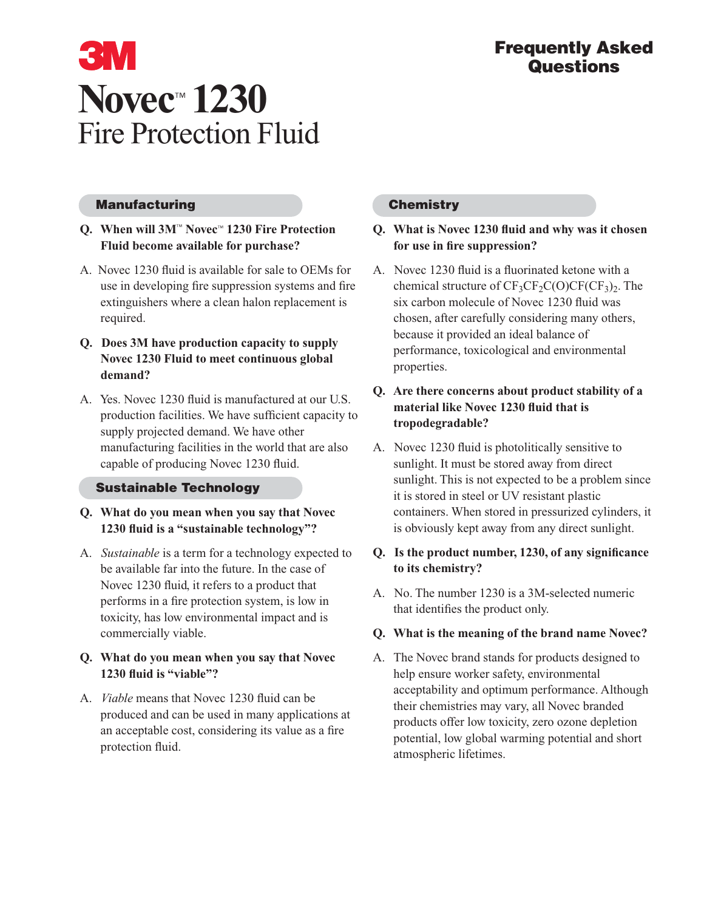# **3M Novec**™ **1230** Fire Protection Fluid

#### **Manufacturing**

# **Q. When will 3M**™ **Novec**™ **1230 Fire Protection Fluid become available for purchase?**

- A. Novec 1230 fluid is available for sale to OEMs for use in developing fire suppression systems and fire extinguishers where a clean halon replacement is required.
- **Q. Does 3M have production capacity to supply Novec 1230 Fluid to meet continuous global demand?**
- A. Yes. Novec 1230 fluid is manufactured at our U.S. production facilities. We have sufficient capacity to supply projected demand. We have other manufacturing facilities in the world that are also capable of producing Novec 1230 fluid.

# **Sustainable Technology**

- **Q. What do you mean when you say that Novec 1230 fluid is a "sustainable technology"?**
- A. *Sustainable* is a term for a technology expected to be available far into the future. In the case of Novec 1230 fluid, it refers to a product that performs in a fire protection system, is low in toxicity, has low environmental impact and is commercially viable.

# **Q. What do you mean when you say that Novec 1230 fluid is "viable"?**

A. *Viable* means that Novec 1230 fluid can be produced and can be used in many applications at an acceptable cost, considering its value as a fire protection fluid.

# **Chemistry**

#### **Q. What is Novec 1230 fluid and why was it chosen for use in fire suppression?**

A. Novec 1230 fluid is a fluorinated ketone with a chemical structure of  $CF_3CF_2C(O)CF(CF_3)_2$ . The six carbon molecule of Novec 1230 fluid was chosen, after carefully considering many others, because it provided an ideal balance of performance, toxicological and environmental properties.

# **Q. Are there concerns about product stability of a material like Novec 1230 fluid that is tropodegradable?**

A. Novec 1230 fluid is photolitically sensitive to sunlight. It must be stored away from direct sunlight. This is not expected to be a problem since it is stored in steel or UV resistant plastic containers. When stored in pressurized cylinders, it is obviously kept away from any direct sunlight.

# **Q. Is the product number, 1230, of any significance to its chemistry?**

A. No. The number 1230 is a 3M-selected numeric that identifies the product only.

#### **Q. What is the meaning of the brand name Novec?**

A. The Novec brand stands for products designed to help ensure worker safety, environmental acceptability and optimum performance. Although their chemistries may vary, all Novec branded products offer low toxicity, zero ozone depletion potential, low global warming potential and short atmospheric lifetimes.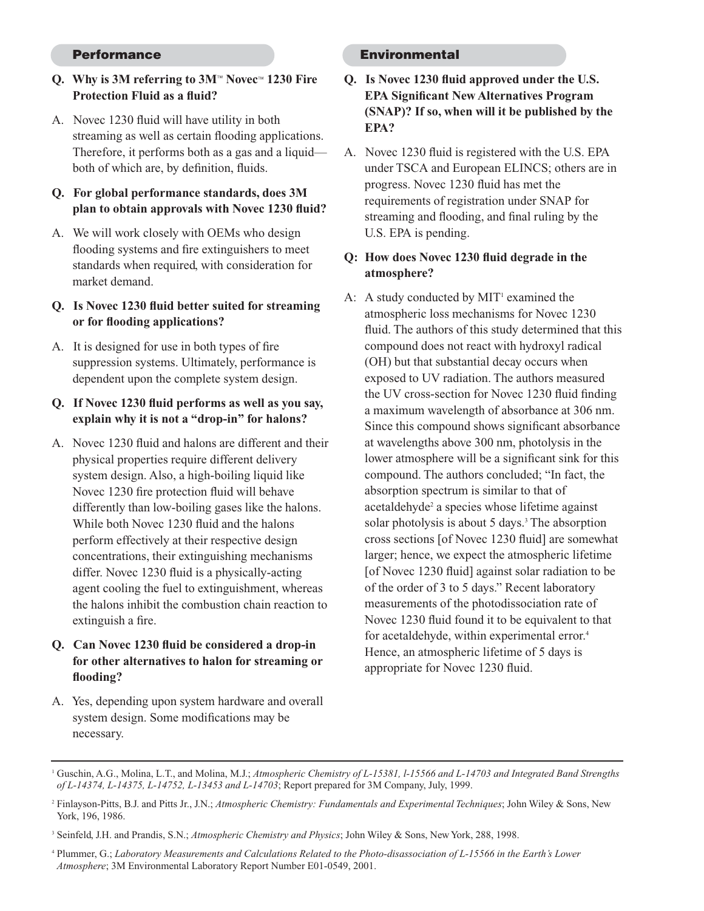#### **Performance**

# **Q. Why is 3M referring to 3M**™ **Novec**™ **1230 Fire Protection Fluid as a fluid?**

- A. Novec 1230 fluid will have utility in both streaming as well as certain flooding applications. Therefore, it performs both as a gas and a liquid both of which are, by definition, fluids.
- **Q. For global performance standards, does 3M plan to obtain approvals with Novec 1230 fluid?**
- A. We will work closely with OEMs who design flooding systems and fire extinguishers to meet standards when required, with consideration for market demand.
- **Q. Is Novec 1230 fluid better suited for streaming or for flooding applications?**
- A. It is designed for use in both types of fire suppression systems. Ultimately, performance is dependent upon the complete system design.
- **Q. If Novec 1230 fluid performs as well as you say, explain why it is not a "drop-in" for halons?**
- A. Novec 1230 fluid and halons are different and their physical properties require different delivery system design. Also, a high-boiling liquid like Novec 1230 fire protection fluid will behave differently than low-boiling gases like the halons. While both Novec 1230 fluid and the halons perform effectively at their respective design concentrations, their extinguishing mechanisms differ. Novec 1230 fluid is a physically-acting agent cooling the fuel to extinguishment, whereas the halons inhibit the combustion chain reaction to extinguish a fire.
- **Q. Can Novec 1230 fluid be considered a drop-in for other alternatives to halon for streaming or flooding?**
- A. Yes, depending upon system hardware and overall system design. Some modifications may be necessary.

#### **Environmental**

- **Q. Is Novec 1230 fluid approved under the U.S. EPA Significant New Alternatives Program (SNAP)? If so, when will it be published by the EPA?**
- A. Novec 1230 fluid is registered with the U.S. EPA under TSCA and European ELINCS; others are in progress. Novec 1230 fluid has met the requirements of registration under SNAP for streaming and flooding, and final ruling by the U.S. EPA is pending.

# **Q: How does Novec 1230 fluid degrade in the atmosphere?**

A: A study conducted by  $MIT<sup>1</sup>$  examined the atmospheric loss mechanisms for Novec 1230 fluid. The authors of this study determined that this compound does not react with hydroxyl radical (OH) but that substantial decay occurs when exposed to UV radiation. The authors measured the UV cross-section for Novec 1230 fluid finding a maximum wavelength of absorbance at 306 nm. Since this compound shows significant absorbance at wavelengths above 300 nm, photolysis in the lower atmosphere will be a significant sink for this compound. The authors concluded; "In fact, the absorption spectrum is similar to that of acetaldehyde<sup>2</sup> a species whose lifetime against solar photolysis is about 5 days.<sup>3</sup> The absorption cross sections [of Novec 1230 fluid] are somewhat larger; hence, we expect the atmospheric lifetime [of Novec 1230 fluid] against solar radiation to be of the order of 3 to 5 days." Recent laboratory measurements of the photodissociation rate of Novec 1230 fluid found it to be equivalent to that for acetaldehyde, within experimental error.<sup>4</sup> Hence, an atmospheric lifetime of 5 days is appropriate for Novec 1230 fluid.

<sup>1</sup> Guschin, A.G., Molina, L.T., and Molina, M.J.; *Atmospheric Chemistry of L-15381, l-15566 and L-14703 and Integrated Band Strengths of L-14374, L-14375, L-14752, L-13453 and L-14703*; Report prepared for 3M Company, July, 1999.

<sup>2</sup> Finlayson-Pitts, B.J. and Pitts Jr., J.N.; *Atmospheric Chemistry: Fundamentals and Experimental Techniques*; John Wiley & Sons, New York, 196, 1986.

<sup>3</sup> Seinfeld, J.H. and Prandis, S.N.; *Atmospheric Chemistry and Physics*; John Wiley & Sons, New York, 288, 1998.

<sup>4</sup> Plummer, G.; *Laboratory Measurements and Calculations Related to the Photo-disassociation of L-15566 in the Earth's Lower Atmosphere*; 3M Environmental Laboratory Report Number E01-0549, 2001.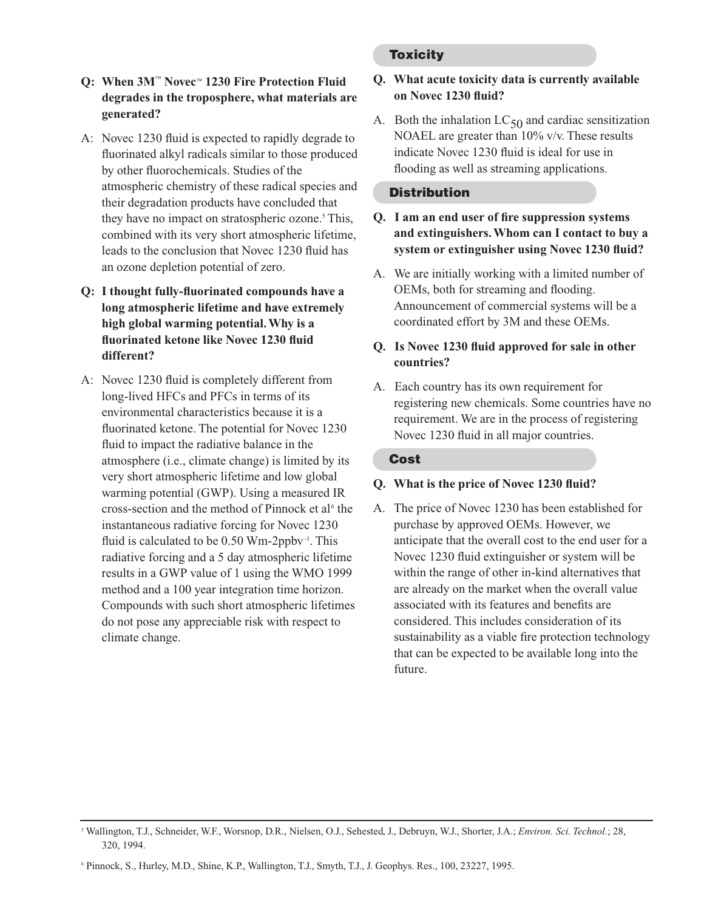# **Q: When 3M**™ **Novec**™ **1230 Fire Protection Fluid degrades in the troposphere, what materials are generated?**

- A: Novec 1230 fluid is expected to rapidly degrade to fluorinated alkyl radicals similar to those produced by other fluorochemicals. Studies of the atmospheric chemistry of these radical species and their degradation products have concluded that they have no impact on stratospheric ozone.<sup>5</sup> This, combined with its very short atmospheric lifetime, leads to the conclusion that Novec 1230 fluid has an ozone depletion potential of zero.
- **Q: I thought fully-fluorinated compounds have a long atmospheric lifetime and have extremely high global warming potential. Why is a fluorinated ketone like Novec 1230 fluid different?**
- A: Novec 1230 fluid is completely different from long-lived HFCs and PFCs in terms of its environmental characteristics because it is a fluorinated ketone. The potential for Novec 1230 fluid to impact the radiative balance in the atmosphere (i.e., climate change) is limited by its very short atmospheric lifetime and low global warming potential (GWP). Using a measured IR cross-section and the method of Pinnock et al<sup>6</sup> the instantaneous radiative forcing for Novec 1230 fluid is calculated to be  $0.50 \text{ Wm-2ppbv}$ <sup>1</sup>. This radiative forcing and a 5 day atmospheric lifetime results in a GWP value of 1 using the WMO 1999 method and a 100 year integration time horizon. Compounds with such short atmospheric lifetimes do not pose any appreciable risk with respect to climate change.

# **Toxicity**

# **Q. What acute toxicity data is currently available on Novec 1230 fluid?**

A. Both the inhalation  $LC_{50}$  and cardiac sensitization NOAEL are greater than 10% v/v. These results indicate Novec 1230 fluid is ideal for use in flooding as well as streaming applications.

# **Distribution**

- **Q. I am an end user of fire suppression systems and extinguishers. Whom can I contact to buy a system or extinguisher using Novec 1230 fluid?**
- A. We are initially working with a limited number of OEMs, both for streaming and flooding. Announcement of commercial systems will be a coordinated effort by 3M and these OEMs.

# **Q. Is Novec 1230 fluid approved for sale in other countries?**

A. Each country has its own requirement for registering new chemicals. Some countries have no requirement. We are in the process of registering Novec 1230 fluid in all major countries.

# **Cost**

# **Q. What is the price of Novec 1230 fluid?**

A. The price of Novec 1230 has been established for purchase by approved OEMs. However, we anticipate that the overall cost to the end user for a Novec 1230 fluid extinguisher or system will be within the range of other in-kind alternatives that are already on the market when the overall value associated with its features and benefits are considered. This includes consideration of its sustainability as a viable fire protection technology that can be expected to be available long into the future.

<sup>5</sup> Wallington, T.J., Schneider, W.F., Worsnop, D.R., Nielsen, O.J., Sehested, J., Debruyn, W.J., Shorter, J.A.; *Environ. Sci. Technol.*; 28, 320, 1994.

<sup>6</sup> Pinnock, S., Hurley, M.D., Shine, K.P., Wallington, T.J., Smyth, T.J., J. Geophys. Res., 100, 23227, 1995.